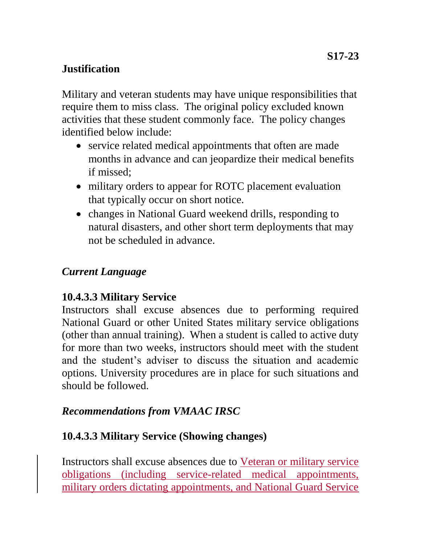#### **S17-23**

## **Justification**

Military and veteran students may have unique responsibilities that require them to miss class. The original policy excluded known activities that these student commonly face. The policy changes identified below include:

- service related medical appointments that often are made months in advance and can jeopardize their medical benefits if missed;
- military orders to appear for ROTC placement evaluation that typically occur on short notice.
- changes in National Guard weekend drills, responding to natural disasters, and other short term deployments that may not be scheduled in advance.

## *Current Language*

## **10.4.3.3 Military Service**

Instructors shall excuse absences due to performing required National Guard or other United States military service obligations (other than annual training). When a student is called to active duty for more than two weeks, instructors should meet with the student and the student's adviser to discuss the situation and academic options. University procedures are in place for such situations and should be followed.

## *Recommendations from VMAAC IRSC*

# **10.4.3.3 Military Service (Showing changes)**

Instructors shall excuse absences due to Veteran or military service obligations (including service-related medical appointments, military orders dictating appointments, and National Guard Service